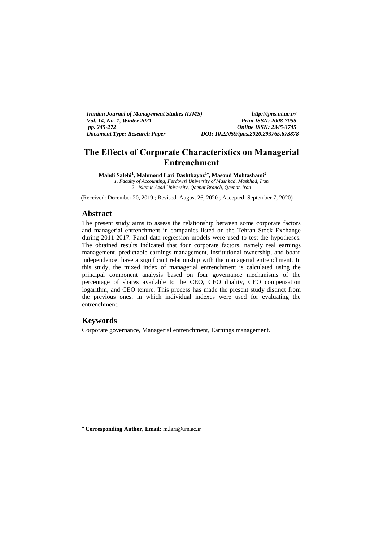| <i>Iranian Journal of Management Studies (IJMS)</i> | http://ijms.ut.ac.ir/                 |
|-----------------------------------------------------|---------------------------------------|
| <i>Vol. 14. No. 1. Winter 2021</i>                  | <b>Print ISSN: 2008-7055</b>          |
| pp. 245-272                                         | <b>Online ISSN: 2345-3745</b>         |
| <b>Document Type: Research Paper</b>                | DOI: 10.22059/iims.2020.293765.673878 |

# **The Effects of Corporate Characteristics on Managerial Entrenchment**

**Mahdi Salehi<sup>1</sup> , Mahmoud Lari Dashtbayaz<sup>1</sup> , Masoud Mohtashami<sup>2</sup>** *1. Faculty of Accounting, Ferdowsi University of Mashhad, Mashhad, Iran 2. Islamic Azad University, Qaenat Branch, Qaenat, Iran*

(Received: December 20, 2019 ; Revised: August 26, 2020 ; Accepted: September 7, 2020)

#### **Abstract**

The present study aims to assess the relationship between some corporate factors and managerial entrenchment in companies listed on the Tehran Stock Exchange during 2011-2017. Panel data regression models were used to test the hypotheses. The obtained results indicated that four corporate factors, namely real earnings management, predictable earnings management, institutional ownership, and board independence, have a significant relationship with the managerial entrenchment. In this study, the mixed index of managerial entrenchment is calculated using the principal component analysis based on four governance mechanisms of the percentage of shares available to the CEO, CEO duality, CEO compensation logarithm, and CEO tenure. This process has made the present study distinct from the previous ones, in which individual indexes were used for evaluating the entrenchment.

# **Keywords**

-

Corporate governance, Managerial entrenchment, Earnings management.

**Corresponding Author, Email:** m.lari@um.ac.ir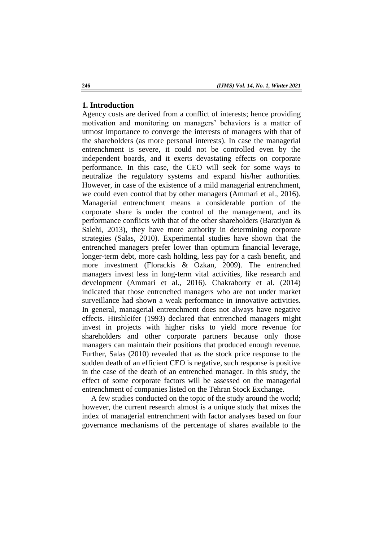### **1. Introduction**

Agency costs are derived from a conflict of interests; hence providing motivation and monitoring on managers' behaviors is a matter of utmost importance to converge the interests of managers with that of the shareholders (as more personal interests). In case the managerial entrenchment is severe, it could not be controlled even by the independent boards, and it exerts devastating effects on corporate performance. In this case, the CEO will seek for some ways to neutralize the regulatory systems and expand his/her authorities. However, in case of the existence of a mild managerial entrenchment, we could even control that by other managers (Ammari et al., 2016). Managerial entrenchment means a considerable portion of the corporate share is under the control of the management, and its performance conflicts with that of the other shareholders (Baratiyan & Salehi, 2013), they have more authority in determining corporate strategies (Salas, 2010). Experimental studies have shown that the entrenched managers prefer lower than optimum financial leverage, longer-term debt, more cash holding, less pay for a cash benefit, and more investment (Florackis & Ozkan, 2009). The entrenched managers invest less in long-term vital activities, like research and development (Ammari et al., 2016). Chakraborty et al. (2014) indicated that those entrenched managers who are not under market surveillance had shown a weak performance in innovative activities. In general, managerial entrenchment does not always have negative effects. Hirshleifer (1993) declared that entrenched managers might invest in projects with higher risks to yield more revenue for shareholders and other corporate partners because only those managers can maintain their positions that produced enough revenue. Further, Salas (2010) revealed that as the stock price response to the sudden death of an efficient CEO is negative, such response is positive in the case of the death of an entrenched manager. In this study, the effect of some corporate factors will be assessed on the managerial entrenchment of companies listed on the Tehran Stock Exchange.

A few studies conducted on the topic of the study around the world; however, the current research almost is a unique study that mixes the index of managerial entrenchment with factor analyses based on four governance mechanisms of the percentage of shares available to the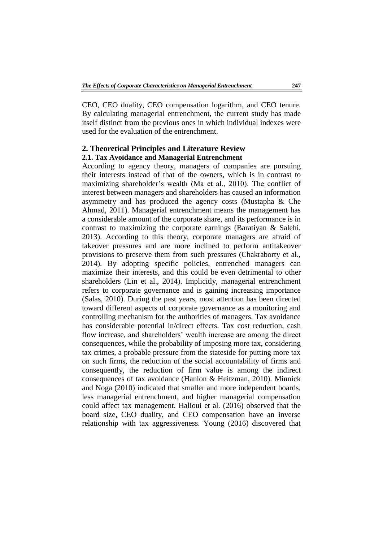CEO, CEO duality, CEO compensation logarithm, and CEO tenure. By calculating managerial entrenchment, the current study has made itself distinct from the previous ones in which individual indexes were used for the evaluation of the entrenchment.

# **2. Theoretical Principles and Literature Review**

## **2.1. Tax Avoidance and Managerial Entrenchment**

According to agency theory, managers of companies are pursuing their interests instead of that of the owners, which is in contrast to maximizing shareholder's wealth (Ma et al., 2010). The conflict of interest between managers and shareholders has caused an information asymmetry and has produced the agency costs (Mustapha & Che Ahmad, 2011). Managerial entrenchment means the management has a considerable amount of the corporate share, and its performance is in contrast to maximizing the corporate earnings (Baratiyan & Salehi, 2013). According to this theory, corporate managers are afraid of takeover pressures and are more inclined to perform antitakeover provisions to preserve them from such pressures (Chakraborty et al., 2014). By adopting specific policies, entrenched managers can maximize their interests, and this could be even detrimental to other shareholders (Lin et al., 2014). Implicitly, managerial entrenchment refers to corporate governance and is gaining increasing importance (Salas, 2010). During the past years, most attention has been directed toward different aspects of corporate governance as a monitoring and controlling mechanism for the authorities of managers. Tax avoidance has considerable potential in/direct effects. Tax cost reduction, cash flow increase, and shareholders' wealth increase are among the direct consequences, while the probability of imposing more tax, considering tax crimes, a probable pressure from the stateside for putting more tax on such firms, the reduction of the social accountability of firms and consequently, the reduction of firm value is among the indirect consequences of tax avoidance (Hanlon & Heitzman, 2010). Minnick and Noga (2010) indicated that smaller and more independent boards, less managerial entrenchment, and higher managerial compensation could affect tax management. Halioui et al. (2016) observed that the board size, CEO duality, and CEO compensation have an inverse relationship with tax aggressiveness. Young (2016) discovered that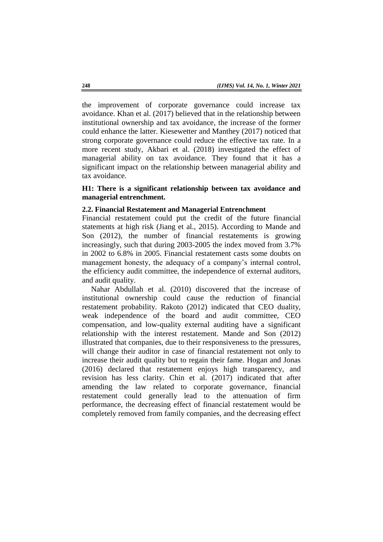the improvement of corporate governance could increase tax avoidance. Khan et al. (2017) believed that in the relationship between institutional ownership and tax avoidance, the increase of the former could enhance the latter. Kiesewetter and Manthey (2017) noticed that strong corporate governance could reduce the effective tax rate. In a more recent study, Akbari et al. (2018) investigated the effect of managerial ability on tax avoidance. They found that it has a significant impact on the relationship between managerial ability and tax avoidance.

# **H1: There is a significant relationship between tax avoidance and managerial entrenchment.**

### **2.2. Financial Restatement and Managerial Entrenchment**

Financial restatement could put the credit of the future financial statements at high risk (Jiang et al., 2015). According to Mande and Son (2012), the number of financial restatements is growing increasingly, such that during 2003-2005 the index moved from 3.7% in 2002 to 6.8% in 2005. Financial restatement casts some doubts on management honesty, the adequacy of a company's internal control, the efficiency audit committee, the independence of external auditors, and audit quality.

Nahar Abdullah et al. (2010) discovered that the increase of institutional ownership could cause the reduction of financial restatement probability. Rakoto (2012) indicated that CEO duality, weak independence of the board and audit committee, CEO compensation, and low-quality external auditing have a significant relationship with the interest restatement. Mande and Son (2012) illustrated that companies, due to their responsiveness to the pressures, will change their auditor in case of financial restatement not only to increase their audit quality but to regain their fame. Hogan and Jonas (2016) declared that restatement enjoys high transparency, and revision has less clarity. Chin et al. (2017) indicated that after amending the law related to corporate governance, financial restatement could generally lead to the attenuation of firm performance, the decreasing effect of financial restatement would be completely removed from family companies, and the decreasing effect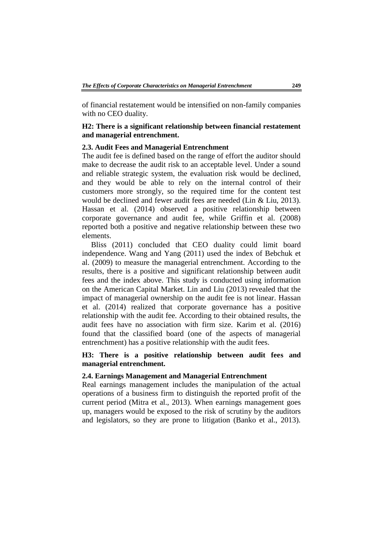of financial restatement would be intensified on non-family companies with no CEO duality.

# **H2: There is a significant relationship between financial restatement and managerial entrenchment.**

### **2.3. Audit Fees and Managerial Entrenchment**

The audit fee is defined based on the range of effort the auditor should make to decrease the audit risk to an acceptable level. Under a sound and reliable strategic system, the evaluation risk would be declined, and they would be able to rely on the internal control of their customers more strongly, so the required time for the content test would be declined and fewer audit fees are needed (Lin & Liu, 2013). Hassan et al. (2014) observed a positive relationship between corporate governance and audit fee, while Griffin et al. (2008) reported both a positive and negative relationship between these two elements.

Bliss (2011) concluded that CEO duality could limit board independence. Wang and Yang (2011) used the index of Bebchuk et al. (2009) to measure the managerial entrenchment. According to the results, there is a positive and significant relationship between audit fees and the index above. This study is conducted using information on the American Capital Market. Lin and Liu (2013) revealed that the impact of managerial ownership on the audit fee is not linear. Hassan et al. (2014) realized that corporate governance has a positive relationship with the audit fee. According to their obtained results, the audit fees have no association with firm size. Karim et al. (2016) found that the classified board (one of the aspects of managerial entrenchment) has a positive relationship with the audit fees.

# **H3: There is a positive relationship between audit fees and managerial entrenchment.**

### **2.4. Earnings Management and Managerial Entrenchment**

Real earnings management includes the manipulation of the actual operations of a business firm to distinguish the reported profit of the current period (Mitra et al., 2013). When earnings management goes up, managers would be exposed to the risk of scrutiny by the auditors and legislators, so they are prone to litigation (Banko et al., 2013).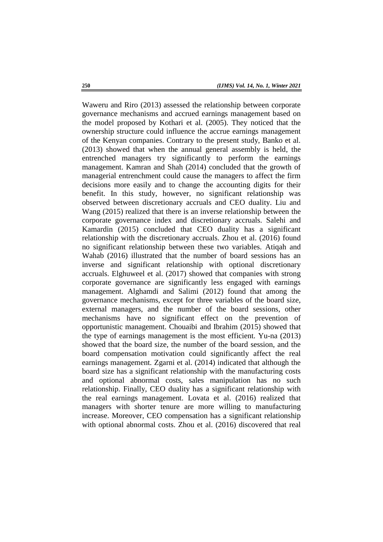Waweru and Riro (2013) assessed the relationship between corporate governance mechanisms and accrued earnings management based on the model proposed by Kothari et al. (2005). They noticed that the ownership structure could influence the accrue earnings management of the Kenyan companies. Contrary to the present study, Banko et al. (2013) showed that when the annual general assembly is held, the entrenched managers try significantly to perform the earnings management. Kamran and Shah (2014) concluded that the growth of managerial entrenchment could cause the managers to affect the firm decisions more easily and to change the accounting digits for their benefit. In this study, however, no significant relationship was observed between discretionary accruals and CEO duality. Liu and Wang (2015) realized that there is an inverse relationship between the corporate governance index and discretionary accruals. Salehi and Kamardin (2015) concluded that CEO duality has a significant relationship with the discretionary accruals. Zhou et al. (2016) found no significant relationship between these two variables. Atiqah and Wahab (2016) illustrated that the number of board sessions has an inverse and significant relationship with optional discretionary accruals. Elghuweel et al. (2017) showed that companies with strong corporate governance are significantly less engaged with earnings management. Alghamdi and Salimi (2012) found that among the governance mechanisms, except for three variables of the board size, external managers, and the number of the board sessions, other mechanisms have no significant effect on the prevention of opportunistic management. Chouaibi and Ibrahim (2015) showed that the type of earnings management is the most efficient. Yu-na (2013) showed that the board size, the number of the board session, and the board compensation motivation could significantly affect the real earnings management. Zgarni et al. (2014) indicated that although the board size has a significant relationship with the manufacturing costs and optional abnormal costs, sales manipulation has no such relationship. Finally, CEO duality has a significant relationship with the real earnings management. Lovata et al. (2016) realized that managers with shorter tenure are more willing to manufacturing increase. Moreover, CEO compensation has a significant relationship with optional abnormal costs. Zhou et al. (2016) discovered that real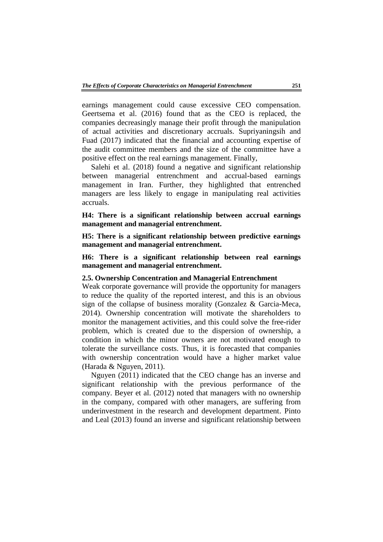earnings management could cause excessive CEO compensation. Geertsema et al. (2016) found that as the CEO is replaced, the companies decreasingly manage their profit through the manipulation of actual activities and discretionary accruals. Supriyaningsih and Fuad (2017) indicated that the financial and accounting expertise of the audit committee members and the size of the committee have a positive effect on the real earnings management. Finally,

Salehi et al. (2018) found a negative and significant relationship between managerial entrenchment and accrual-based earnings management in Iran. Further, they highlighted that entrenched managers are less likely to engage in manipulating real activities accruals.

**H4: There is a significant relationship between accrual earnings management and managerial entrenchment.** 

**H5: There is a significant relationship between predictive earnings management and managerial entrenchment.** 

**H6: There is a significant relationship between real earnings management and managerial entrenchment.** 

### **2.5. Ownership Concentration and Managerial Entrenchment**

Weak corporate governance will provide the opportunity for managers to reduce the quality of the reported interest, and this is an obvious sign of the collapse of business morality (Gonzalez & Garcia-Meca, 2014). Ownership concentration will motivate the shareholders to monitor the management activities, and this could solve the free-rider problem, which is created due to the dispersion of ownership, a condition in which the minor owners are not motivated enough to tolerate the surveillance costs. Thus, it is forecasted that companies with ownership concentration would have a higher market value (Harada & Nguyen, 2011).

Nguyen (2011) indicated that the CEO change has an inverse and significant relationship with the previous performance of the company. Beyer et al. (2012) noted that managers with no ownership in the company, compared with other managers, are suffering from underinvestment in the research and development department. Pinto and Leal (2013) found an inverse and significant relationship between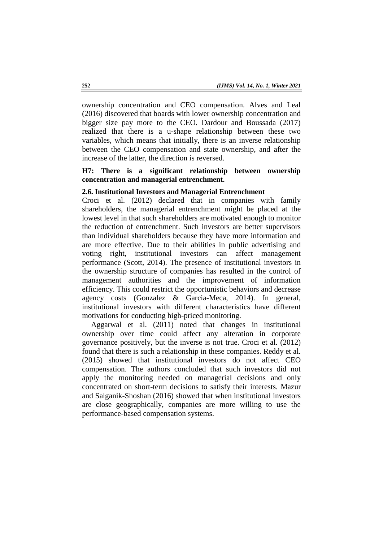ownership concentration and CEO compensation. Alves and Leal (2016) discovered that boards with lower ownership concentration and bigger size pay more to the CEO. Dardour and Boussada (2017) realized that there is a u-shape relationship between these two variables, which means that initially, there is an inverse relationship between the CEO compensation and state ownership, and after the increase of the latter, the direction is reversed.

# **H7: There is a significant relationship between ownership concentration and managerial entrenchment.**

#### **2.6. Institutional Investors and Managerial Entrenchment**

Croci et al. (2012) declared that in companies with family shareholders, the managerial entrenchment might be placed at the lowest level in that such shareholders are motivated enough to monitor the reduction of entrenchment. Such investors are better supervisors than individual shareholders because they have more information and are more effective. Due to their abilities in public advertising and voting right, institutional investors can affect management performance (Scott, 2014). The presence of institutional investors in the ownership structure of companies has resulted in the control of management authorities and the improvement of information efficiency. This could restrict the opportunistic behaviors and decrease agency costs (Gonzalez & Garcia-Meca, 2014). In general, institutional investors with different characteristics have different motivations for conducting high-priced monitoring.

Aggarwal et al. (2011) noted that changes in institutional ownership over time could affect any alteration in corporate governance positively, but the inverse is not true. Croci et al. (2012) found that there is such a relationship in these companies. Reddy et al. (2015) showed that institutional investors do not affect CEO compensation. The authors concluded that such investors did not apply the monitoring needed on managerial decisions and only concentrated on short-term decisions to satisfy their interests. Mazur and Salganik-Shoshan (2016) showed that when institutional investors are close geographically, companies are more willing to use the performance-based compensation systems.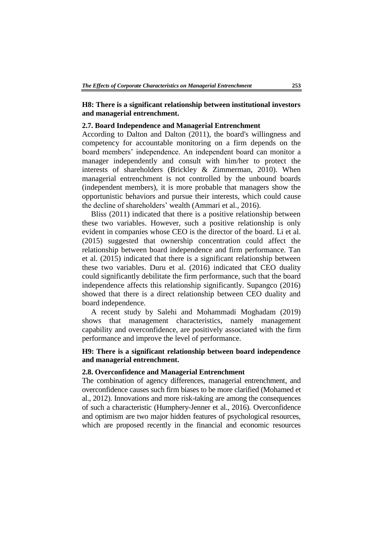# **H8: There is a significant relationship between institutional investors and managerial entrenchment.**

#### **2.7. Board Independence and Managerial Entrenchment**

According to Dalton and Dalton (2011), the board's willingness and competency for accountable monitoring on a firm depends on the board members' independence. An independent board can monitor a manager independently and consult with him/her to protect the interests of shareholders (Brickley & Zimmerman, 2010). When managerial entrenchment is not controlled by the unbound boards (independent members), it is more probable that managers show the opportunistic behaviors and pursue their interests, which could cause the decline of shareholders' wealth (Ammari et al., 2016).

Bliss (2011) indicated that there is a positive relationship between these two variables. However, such a positive relationship is only evident in companies whose CEO is the director of the board. Li et al. (2015) suggested that ownership concentration could affect the relationship between board independence and firm performance. Tan et al. (2015) indicated that there is a significant relationship between these two variables. Duru et al. (2016) indicated that CEO duality could significantly debilitate the firm performance, such that the board independence affects this relationship significantly. Supangco (2016) showed that there is a direct relationship between CEO duality and board independence.

A recent study by Salehi and Mohammadi Moghadam (2019) shows that management characteristics, namely management capability and overconfidence, are positively associated with the firm performance and improve the level of performance.

# **H9: There is a significant relationship between board independence and managerial entrenchment.**

### **2.8. Overconfidence and Managerial Entrenchment**

The combination of agency differences, managerial entrenchment, and overconfidence causes such firm biases to be more clarified (Mohamed et al., 2012). Innovations and more risk-taking are among the consequences of such a characteristic (Humphery-Jenner et al., 2016). Overconfidence and optimism are two major hidden features of psychological resources, which are proposed recently in the financial and economic resources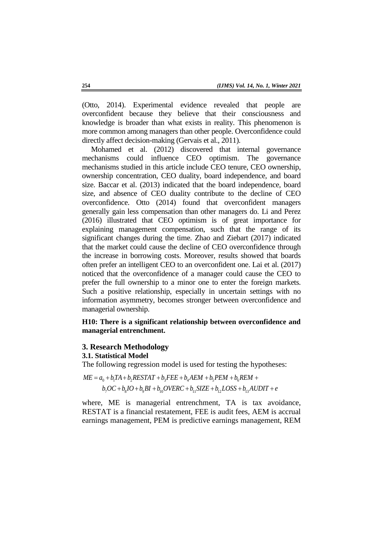(Otto, 2014). Experimental evidence revealed that people are overconfident because they believe that their consciousness and knowledge is broader than what exists in reality. This phenomenon is more common among managers than other people. Overconfidence could directly affect decision-making (Gervais et al., 2011).

Mohamed et al. (2012) discovered that internal governance mechanisms could influence CEO optimism. The governance mechanisms studied in this article include CEO tenure, CEO ownership, ownership concentration, CEO duality, board independence, and board size. Baccar et al. (2013) indicated that the board independence, board size, and absence of CEO duality contribute to the decline of CEO overconfidence. Otto (2014) found that overconfident managers generally gain less compensation than other managers do. Li and Perez (2016) illustrated that CEO optimism is of great importance for explaining management compensation, such that the range of its significant changes during the time. Zhao and Ziebart (2017) indicated that the market could cause the decline of CEO overconfidence through the increase in borrowing costs. Moreover, results showed that boards often prefer an intelligent CEO to an overconfident one. Lai et al. (2017) noticed that the overconfidence of a manager could cause the CEO to prefer the full ownership to a minor one to enter the foreign markets. Such a positive relationship, especially in uncertain settings with no information asymmetry, becomes stronger between overconfidence and managerial ownership.

# **H10: There is a significant relationship between overconfidence and managerial entrenchment.**

#### **3. Research Methodology**

#### **3.1. Statistical Model**

The following regression model is used for testing the hypotheses:

 $ME = a_0 + b_1 TA + b_2 RESTAT + b_3 FEE + b_4 AEM + b_5 PEM + b_6 REM +$  $b_7OC + b_8 IO + b_9BI + b_{10} OVERC + b_{11} SIZE + b_{12} LOSS + b_{13} ADDIT + e$ 

where, ME is managerial entrenchment, TA is tax avoidance, RESTAT is a financial restatement, FEE is audit fees, AEM is accrual earnings management, PEM is predictive earnings management, REM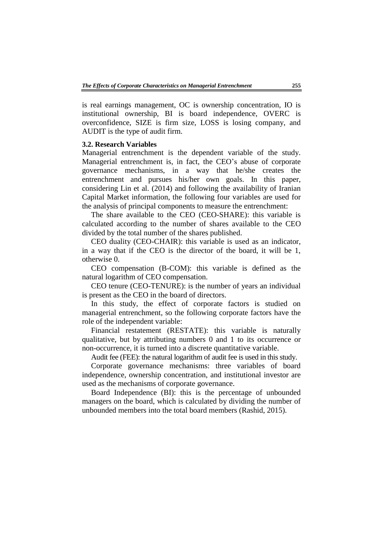is real earnings management, OC is ownership concentration, IO is institutional ownership, BI is board independence, OVERC is overconfidence, SIZE is firm size, LOSS is losing company, and AUDIT is the type of audit firm.

# **3.2. Research Variables**

Managerial entrenchment is the dependent variable of the study. Managerial entrenchment is, in fact, the CEO's abuse of corporate governance mechanisms, in a way that he/she creates the entrenchment and pursues his/her own goals. In this paper, considering Lin et al. (2014) and following the availability of Iranian Capital Market information, the following four variables are used for the analysis of principal components to measure the entrenchment:

The share available to the CEO (CEO-SHARE): this variable is calculated according to the number of shares available to the CEO divided by the total number of the shares published.

CEO duality (CEO-CHAIR): this variable is used as an indicator, in a way that if the CEO is the director of the board, it will be 1, otherwise 0.

CEO compensation (B-COM): this variable is defined as the natural logarithm of CEO compensation.

CEO tenure (CEO-TENURE): is the number of years an individual is present as the CEO in the board of directors.

In this study, the effect of corporate factors is studied on managerial entrenchment, so the following corporate factors have the role of the independent variable:

Financial restatement (RESTATE): this variable is naturally qualitative, but by attributing numbers 0 and 1 to its occurrence or non-occurrence, it is turned into a discrete quantitative variable.

Audit fee (FEE): the natural logarithm of audit fee is used in this study.

Corporate governance mechanisms: three variables of board independence, ownership concentration, and institutional investor are used as the mechanisms of corporate governance.

Board Independence (BI): this is the percentage of unbounded managers on the board, which is calculated by dividing the number of unbounded members into the total board members (Rashid, 2015).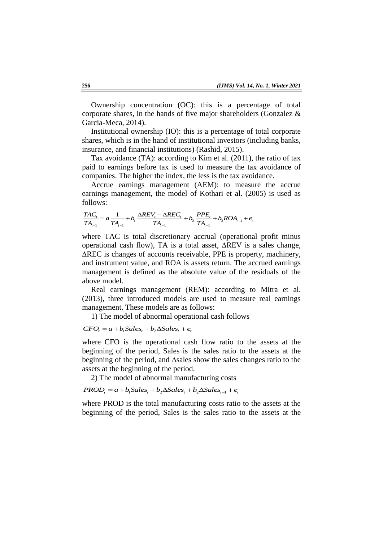Ownership concentration (OC): this is a percentage of total corporate shares, in the hands of five major shareholders (Gonzalez & Garcia-Meca, 2014).

Institutional ownership (IO): this is a percentage of total corporate shares, which is in the hand of institutional investors (including banks, insurance, and financial institutions) (Rashid, 2015).

Tax avoidance (TA): according to Kim et al. (2011), the ratio of tax paid to earnings before tax is used to measure the tax avoidance of companies. The higher the index, the less is the tax avoidance.

Accrue earnings management (AEM): to measure the accrue earnings management, the model of Kothari et al. (2005) is used as follows:<br>  $\frac{TAC_t}{TA_{t-1}} = a \frac{1}{TA_{t-1}} + b_1 \frac{\Delta REV_t - \Delta REC_t}{TA_{t-1}} + b_2 \frac{PPE_t}{TA_{t-1}} + b_3ROA_{t-1} + e_t$ follows:

follows:  
\n
$$
\frac{TAC_t}{TA_{t-1}} = a \frac{1}{TA_{t-1}} + b_1 \frac{\Delta REV_t - \Delta REC_t}{TA_{t-1}} + b_2 \frac{PPE_t}{TA_{t-1}} + b_3 ROA_{t-1} + e_t
$$

where TAC is total discretionary accrual (operational profit minus operational cash flow), TA is a total asset, ∆REV is a sales change, ∆REC is changes of accounts receivable, PPE is property, machinery, and instrument value, and ROA is assets return. The accrued earnings management is defined as the absolute value of the residuals of the above model.

Real earnings management (REM): according to Mitra et al. (2013), three introduced models are used to measure real earnings management. These models are as follows:

1) The model of abnormal operational cash follows

# $CFO<sub>r</sub> = a + b<sub>1</sub>Sales<sub>r</sub> + b<sub>2</sub>\Delta Sales<sub>r</sub> + e<sub>r</sub>$

where CFO is the operational cash flow ratio to the assets at the beginning of the period, Sales is the sales ratio to the assets at the beginning of the period, and ∆sales show the sales changes ratio to the assets at the beginning of the period.

2) The model of abnormal manufacturing costs

 $PROD<sub>r</sub> = a + b<sub>1</sub>Sales<sub>r</sub> + b<sub>2</sub>\Delta Sales<sub>r</sub> + b<sub>2</sub>\Delta Sales<sub>r-1</sub> + e<sub>r</sub>$ 

where PROD is the total manufacturing costs ratio to the assets at the beginning of the period, Sales is the sales ratio to the assets at the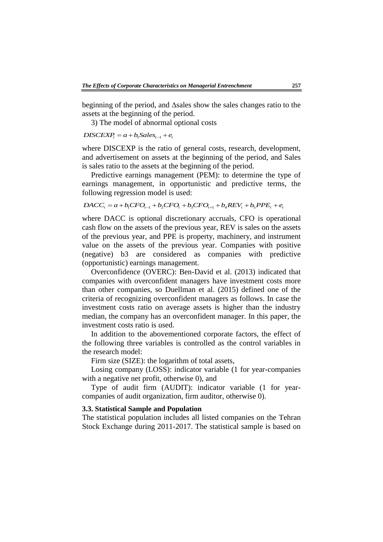beginning of the period, and ∆sales show the sales changes ratio to the assets at the beginning of the period.

3) The model of abnormal optional costs

#### $DISCEXP_t = a + b_t Sales_{t-1} + e_t$

where DISCEXP is the ratio of general costs, research, development, and advertisement on assets at the beginning of the period, and Sales is sales ratio to the assets at the beginning of the period.

Predictive earnings management (PEM): to determine the type of earnings management, in opportunistic and predictive terms, the following regression model is used:

$$
DACC_{t} = a + b_{1}CFO_{t-1} + b_{2}CFO_{t} + b_{3}CFO_{t+1} + b_{4}REV_{t} + b_{5}PPE_{t} + e_{t}
$$

where DACC is optional discretionary accruals, CFO is operational cash flow on the assets of the previous year, REV is sales on the assets of the previous year, and PPE is property, machinery, and instrument value on the assets of the previous year. Companies with positive (negative) b3 are considered as companies with predictive (opportunistic) earnings management.

Overconfidence (OVERC): Ben-David et al. (2013) indicated that companies with overconfident managers have investment costs more than other companies, so Duellman et al. (2015) defined one of the criteria of recognizing overconfident managers as follows. In case the investment costs ratio on average assets is higher than the industry median, the company has an overconfident manager. In this paper, the investment costs ratio is used.

In addition to the abovementioned corporate factors, the effect of the following three variables is controlled as the control variables in the research model:

Firm size (SIZE): the logarithm of total assets,

Losing company (LOSS): indicator variable (1 for year-companies with a negative net profit, otherwise 0), and

Type of audit firm (AUDIT): indicator variable (1 for yearcompanies of audit organization, firm auditor, otherwise 0).

#### **3.3. Statistical Sample and Population**

The statistical population includes all listed companies on the Tehran Stock Exchange during 2011-2017. The statistical sample is based on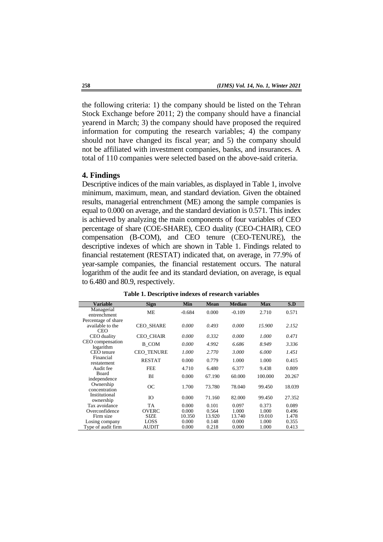the following criteria: 1) the company should be listed on the Tehran Stock Exchange before 2011; 2) the company should have a financial yearend in March; 3) the company should have proposed the required information for computing the research variables; 4) the company should not have changed its fiscal year; and 5) the company should not be affiliated with investment companies, banks, and insurances. A total of 110 companies were selected based on the above-said criteria.

#### **4. Findings**

Descriptive indices of the main variables, as displayed in Table 1, involve minimum, maximum, mean, and standard deviation. Given the obtained results, managerial entrenchment (ME) among the sample companies is equal to 0.000 on average, and the standard deviation is 0.571. This index is achieved by analyzing the main components of four variables of CEO percentage of share (COE-SHARE), CEO duality (CEO-CHAIR), CEO compensation (B-COM), and CEO tenure (CEO-TENURE), the descriptive indexes of which are shown in Table 1. Findings related to financial restatement (RESTAT) indicated that, on average, in 77.9% of year-sample companies, the financial restatement occurs. The natural logarithm of the audit fee and its standard deviation, on average, is equal to 6.480 and 80.9, respectively.

| <b>Variable</b>                                | <b>Sign</b>       | Min      | <b>Mean</b> | <b>Median</b> | <b>Max</b> | S.D    |
|------------------------------------------------|-------------------|----------|-------------|---------------|------------|--------|
| Managerial<br>entrenchment                     | <b>ME</b>         | $-0.684$ | 0.000       | $-0.109$      | 2.710      | 0.571  |
| Percentage of share<br>available to the<br>CEO | <b>CEO SHARE</b>  | 0.000    | 0.493       | 0.000         | 15.900     | 2.152  |
| CEO duality                                    | <b>CEO CHAIR</b>  | 0.000    | 0.332       | 0.000         | 1.000      | 0.471  |
| CEO compensation<br>logarithm                  | B COM             | 0.000    | 4.992       | 6.686         | 8.949      | 3.336  |
| CEO tenure                                     | <b>CEO TENURE</b> | 1.000    | 2.770       | 3.000         | 6.000      | 1.451  |
| Financial<br>restatement                       | <b>RESTAT</b>     | 0.000    | 0.779       | 1.000         | 1.000      | 0.415  |
| Audit fee                                      | <b>FEE</b>        | 4.710    | 6.480       | 6.377         | 9.438      | 0.809  |
| Board<br>independence                          | BI                | 0.000    | 67.190      | 60.000        | 100.000    | 20.267 |
| Ownership<br>concentration                     | ОC                | 1.700    | 73.780      | 78.040        | 99.450     | 18.039 |
| Institutional<br>ownership                     | IO                | 0.000    | 71.160      | 82.000        | 99.450     | 27.352 |
| Tax avoidance                                  | TA                | 0.000    | 0.101       | 0.097         | 0.373      | 0.089  |
| Overconfidence                                 | <b>OVERC</b>      | 0.000    | 0.564       | 1.000         | 1.000      | 0.496  |
| Firm size                                      | <b>SIZE</b>       | 10.350   | 13.920      | 13.740        | 19.010     | 1.478  |
| Losing company                                 | LOSS              | 0.000    | 0.148       | 0.000         | 1.000      | 0.355  |
| Type of audit firm                             | <b>AUDIT</b>      | 0.000    | 0.218       | 0.000         | 1.000      | 0.413  |

**Table 1. Descriptive indexes of research variables**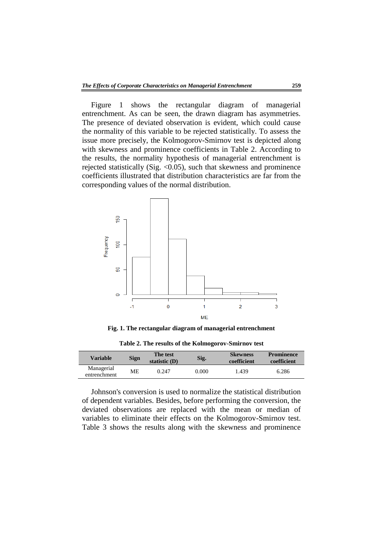Figure 1 shows the rectangular diagram of managerial entrenchment. As can be seen, the drawn diagram has asymmetries. The presence of deviated observation is evident, which could cause the normality of this variable to be rejected statistically. To assess the issue more precisely, the Kolmogorov-Smirnov test is depicted along with skewness and prominence coefficients in Table 2. According to the results, the normality hypothesis of managerial entrenchment is rejected statistically (Sig. <0.05), such that skewness and prominence coefficients illustrated that distribution characteristics are far from the corresponding values of the normal distribution.



**Fig. 1. The rectangular diagram of managerial entrenchment**

| <b>Variable</b>            | <b>Sign</b> | The test<br>statistic $(D)$ | Sig.  | <b>Skewness</b><br>coefficient | <b>Prominence</b><br>coefficient |
|----------------------------|-------------|-----------------------------|-------|--------------------------------|----------------------------------|
| Managerial<br>entrenchment | MЕ          | 0.247                       | 0.000 | 1.439                          | 6.286                            |

**Table 2. The results of the Kolmogorov-Smirnov test**

Johnson's conversion is used to normalize the statistical distribution of dependent variables. Besides, before performing the conversion, the deviated observations are replaced with the mean or median of variables to eliminate their effects on the Kolmogorov-Smirnov test. Table 3 shows the results along with the skewness and prominence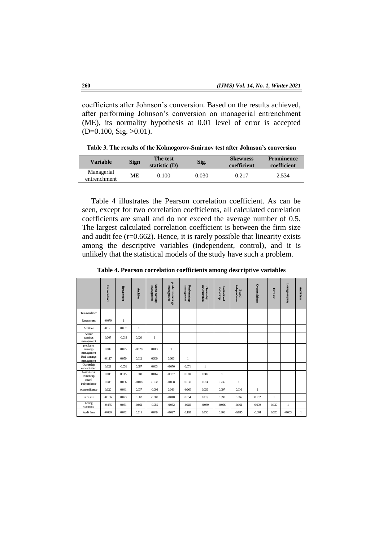coefficients after Johnson's conversion. Based on the results achieved, after performing Johnson's conversion on managerial entrenchment (ME), its normality hypothesis at 0.01 level of error is accepted  $(D=0.100, Sig. >0.01)$ .

**Table 3. The results of the Kolmogorov-Smirnov test after Johnson's conversion**

| <b>Variable</b>            | <b>Sign</b> | The test<br>statistic $(D)$ | Sig.  | <b>Skewness</b><br>coefficient | <b>Prominence</b><br>coefficient |
|----------------------------|-------------|-----------------------------|-------|--------------------------------|----------------------------------|
| Managerial<br>entrenchment | MЕ          | 0.100                       | 0.030 | 0.217                          | 2.534                            |

Table 4 illustrates the Pearson correlation coefficient. As can be seen, except for two correlation coefficients, all calculated correlation coefficients are small and do not exceed the average number of 0.5. The largest calculated correlation coefficient is between the firm size and audit fee  $(r=0.662)$ . Hence, it is rarely possible that linearity exists among the descriptive variables (independent, control), and it is unlikely that the statistical models of the study have such a problem.

**Table 4. Pearson correlation coefficients among descriptive variables**

|                                      | Tax avoidance | <b>Restatement</b> | Audit fee    | <b>Accrue earnings</b><br>пападенец | predictive earnings<br>management | management<br>Real earnings | <b>Ownership</b><br>concentration | <b>Institutional</b><br>ownership | independence<br>Board | Overconfidence | Firm size    | Losing company | Audit firm |
|--------------------------------------|---------------|--------------------|--------------|-------------------------------------|-----------------------------------|-----------------------------|-----------------------------------|-----------------------------------|-----------------------|----------------|--------------|----------------|------------|
| Tax avoidance                        | 1             |                    |              |                                     |                                   |                             |                                   |                                   |                       |                |              |                |            |
| Restatement                          | $-0.079$      | 1                  |              |                                     |                                   |                             |                                   |                                   |                       |                |              |                |            |
| Audit fee                            | $-0.121$      | 0.067              | $\mathbf{1}$ |                                     |                                   |                             |                                   |                                   |                       |                |              |                |            |
| Accrue<br>earnings<br>management     | 0.007         | $-0.018$           | 0.020        | $\mathbf{1}$                        |                                   |                             |                                   |                                   |                       |                |              |                |            |
| predictive<br>earnings<br>management | 0.102         | 0.025              | $-0.128$     | 0.013                               | $\mathbf{1}$                      |                             |                                   |                                   |                       |                |              |                |            |
| Real earnings<br>management          | $-0.117$      | 0.050              | 0.012        | 0.500                               | 0.006                             | $\mathbf{1}$                |                                   |                                   |                       |                |              |                |            |
| Ownership<br>concentration           | 0.121         | $-0.051$           | 0.087        | 0.003                               | $-0.070$                          | 0.071                       | $\mathbf{1}$                      |                                   |                       |                |              |                |            |
| Institutional<br>ownership           | 0.103         | 0.115              | 0.308        | 0.014                               | $-0.137$                          | 0.069                       | 0.602                             | $\mathbf{1}$                      |                       |                |              |                |            |
| Board<br>independence                | 0.086         | 0.066              | $-0.008$     | $-0.037$                            | $-0.058$                          | 0.031                       | 0.014                             | 0.235                             | $\mathbf{1}$          |                |              |                |            |
| overconfidence                       | 0.120         | 0.041              | 0.037        | $-0.008$                            | 0.049                             | $-0.069$                    | 0.036                             | 0.097                             | 0.016                 | 1              |              |                |            |
| Firm size                            | $-0.166$      | 0.073              | 0.662        | $-0.008$                            | $-0.048$                          | 0.054                       | 0.119                             | 0.390                             | 0.066                 | 0.152          | $\mathbf{1}$ |                |            |
| Losing<br>company                    | $-0.475$      | 0.051              | $-0.051$     | $-0.059$                            | $-0.052$                          | $-0.026$                    | $-0.039$                          | $-0.056$                          | $-0.161$              | 0.099          | 0.130        | 1              |            |
| Audit firm                           | $-0.080$      | 0.042              | 0.511        | 0.049                               | $-0.097$                          | 0.102                       | 0.150                             | 0.206                             | $-0.035$              | $-0.001$       | 0.326        | $-0.003$       | 1          |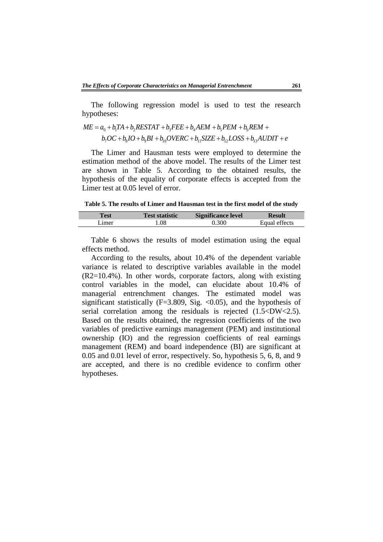I

The following regression model is used to test the research hypotheses:

$$
ME = a_0 + b_1 TA + b_2 RESTAT + b_3FEE + b_4AEM + b_5PEM + b_6REM +
$$
  

$$
b_7OC + b_8 IO + b_9BI + b_{10} OVERC + b_{11} SIZE + b_{12} LOSS + b_{13} ADDIT + e
$$

The Limer and Hausman tests were employed to determine the estimation method of the above model. The results of the Limer test are shown in Table 5. According to the obtained results, the hypothesis of the equality of corporate effects is accepted from the Limer test at 0.05 level of error.

**Table 5. The results of Limer and Hausman test in the first model of the study**

| rest   | <b>Test statistic</b> | <b>Significance level</b> | Result        |
|--------|-----------------------|---------------------------|---------------|
| Limer. | .08                   | 0.300                     | Equal effects |

Table 6 shows the results of model estimation using the equal effects method.

According to the results, about 10.4% of the dependent variable variance is related to descriptive variables available in the model (R2=10.4%). In other words, corporate factors, along with existing control variables in the model, can elucidate about 10.4% of managerial entrenchment changes. The estimated model was significant statistically (F=3.809, Sig.  $\langle 0.05 \rangle$ ), and the hypothesis of serial correlation among the residuals is rejected  $(1.5 < DW < 2.5)$ . Based on the results obtained, the regression coefficients of the two variables of predictive earnings management (PEM) and institutional ownership (IO) and the regression coefficients of real earnings management (REM) and board independence (BI) are significant at 0.05 and 0.01 level of error, respectively. So, hypothesis 5, 6, 8, and 9 are accepted, and there is no credible evidence to confirm other hypotheses.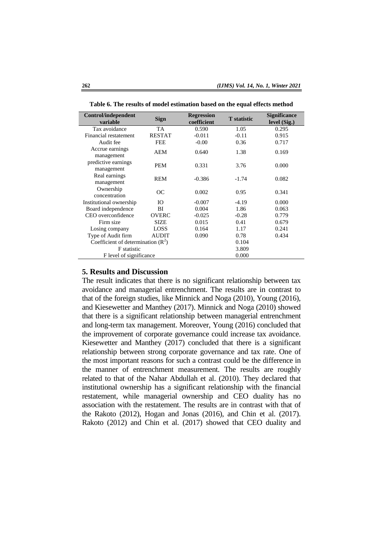| Control/independent<br>variable     | <b>Sign</b>   | <b>Regression</b><br>coefficient | <b>T</b> statistic | <b>Significance</b><br>level (Sig.) |
|-------------------------------------|---------------|----------------------------------|--------------------|-------------------------------------|
| Tax avoidance                       | <b>TA</b>     | 0.590                            | 1.05               | 0.295                               |
| Financial restatement               | <b>RESTAT</b> | $-0.011$                         | $-0.11$            | 0.915                               |
| Audit fee                           | <b>FEE</b>    | $-0.00$                          | 0.36               | 0.717                               |
| Accrue earnings<br>management       | AEM           | 0.640                            | 1.38               | 0.169                               |
| predictive earnings<br>management   | <b>PEM</b>    | 0.331                            | 3.76               | 0.000                               |
| Real earnings<br>management         | <b>REM</b>    | $-0.386$                         | $-1.74$            | 0.082                               |
| Ownership<br>concentration          | <b>OC</b>     | 0.002                            | 0.95               | 0.341                               |
| Institutional ownership             | Ю             | $-0.007$                         | $-4.19$            | 0.000                               |
| Board independence                  | ВI            | 0.004                            | 1.86               | 0.063                               |
| CEO overconfidence                  | <b>OVERC</b>  | $-0.025$                         | $-0.28$            | 0.779                               |
| Firm size                           | SIZE          | 0.015                            | 0.41               | 0.679                               |
| Losing company                      | LOSS          | 0.164                            | 1.17               | 0.241                               |
| Type of Audit firm                  | <b>AUDIT</b>  | 0.090                            | 0.78               | 0.434                               |
| Coefficient of determination $(R2)$ |               |                                  | 0.104              |                                     |
| <b>F</b> statistic                  |               | 3.809                            |                    |                                     |
| F level of significance             |               |                                  | 0.000              |                                     |

**Table 6. The results of model estimation based on the equal effects method**

#### **5. Results and Discussion**

The result indicates that there is no significant relationship between tax avoidance and managerial entrenchment. The results are in contrast to that of the foreign studies, like Minnick and Noga (2010), Young (2016), and Kiesewetter and Manthey (2017). Minnick and Noga (2010) showed that there is a significant relationship between managerial entrenchment and long-term tax management. Moreover, Young (2016) concluded that the improvement of corporate governance could increase tax avoidance. Kiesewetter and Manthey (2017) concluded that there is a significant relationship between strong corporate governance and tax rate. One of the most important reasons for such a contrast could be the difference in the manner of entrenchment measurement. The results are roughly related to that of the Nahar Abdullah et al. (2010). They declared that institutional ownership has a significant relationship with the financial restatement, while managerial ownership and CEO duality has no association with the restatement. The results are in contrast with that of the Rakoto (2012), Hogan and Jonas (2016), and Chin et al. (2017). Rakoto (2012) and Chin et al. (2017) showed that CEO duality and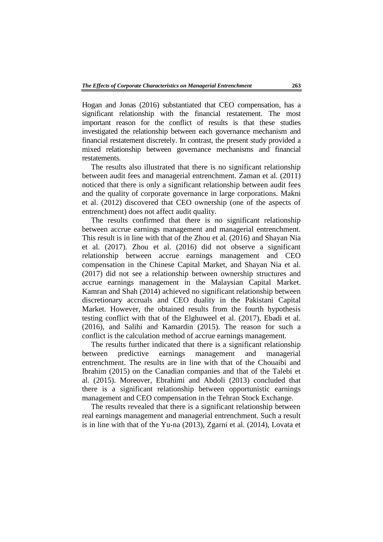Hogan and Jonas (2016) substantiated that CEO compensation, has a significant relationship with the financial restatement. The most important reason for the conflict of results is that these studies investigated the relationship between each governance mechanism and financial restatement discretely. In contrast, the present study provided a mixed relationship between governance mechanisms and financial restatements.

The results also illustrated that there is no significant relationship between audit fees and managerial entrenchment. Zaman et al. (2011) noticed that there is only a significant relationship between audit fees and the quality of corporate governance in large corporations. Makni et al. (2012) discovered that CEO ownership (one of the aspects of entrenchment) does not affect audit quality.

The results confirmed that there is no significant relationship between accrue earnings management and managerial entrenchment. This result is in line with that of the Zhou et al. (2016) and Shayan Nia et al. (2017). Zhou et al. (2016) did not observe a significant relationship between accrue earnings management and CEO compensation in the Chinese Capital Market, and Shayan Nia et al. (2017) did not see a relationship between ownership structures and accrue earnings management in the Malaysian Capital Market. Kamran and Shah (2014) achieved no significant relationship between discretionary accruals and CEO duality in the Pakistani Capital Market. However, the obtained results from the fourth hypothesis testing conflict with that of the Elghuweel et al. (2017), Ebadi et al. (2016), and Salihi and Kamardin (2015). The reason for such a conflict is the calculation method of accrue earnings management.

The results further indicated that there is a significant relationship between predictive earnings management and managerial entrenchment. The results are in line with that of the Chouaibi and Ibrahim (2015) on the Canadian companies and that of the Talebi et al. (2015). Moreover, Ebrahimi and Abdoli (2013) concluded that there is a significant relationship between opportunistic earnings management and CEO compensation in the Tehran Stock Exchange.

The results revealed that there is a significant relationship between real earnings management and managerial entrenchment. Such a result is in line with that of the Yu-na (2013), Zgarni et al. (2014), Lovata et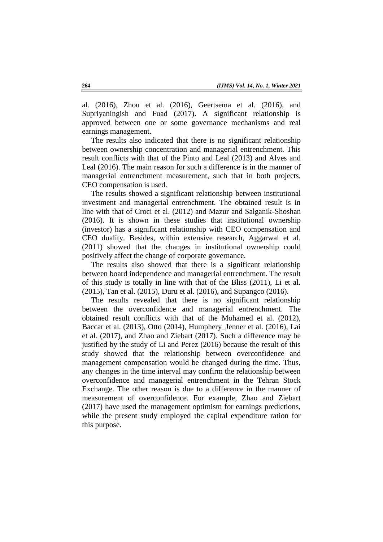al. (2016), Zhou et al. (2016), Geertsema et al. (2016), and Supriyaningish and Fuad (2017). A significant relationship is approved between one or some governance mechanisms and real earnings management.

The results also indicated that there is no significant relationship between ownership concentration and managerial entrenchment. This result conflicts with that of the Pinto and Leal (2013) and Alves and Leal (2016). The main reason for such a difference is in the manner of managerial entrenchment measurement, such that in both projects, CEO compensation is used.

The results showed a significant relationship between institutional investment and managerial entrenchment. The obtained result is in line with that of Croci et al. (2012) and Mazur and Salganik-Shoshan (2016). It is shown in these studies that institutional ownership (investor) has a significant relationship with CEO compensation and CEO duality. Besides, within extensive research, Aggarwal et al. (2011) showed that the changes in institutional ownership could positively affect the change of corporate governance.

The results also showed that there is a significant relationship between board independence and managerial entrenchment. The result of this study is totally in line with that of the Bliss (2011), Li et al. (2015), Tan et al. (2015), Duru et al. (2016), and Supangco (2016).

The results revealed that there is no significant relationship between the overconfidence and managerial entrenchment. The obtained result conflicts with that of the Mohamed et al. (2012), Baccar et al. (2013), Otto (2014), Humphery\_Jenner et al. (2016), Lai et al. (2017), and Zhao and Ziebart (2017). Such a difference may be justified by the study of Li and Perez (2016) because the result of this study showed that the relationship between overconfidence and management compensation would be changed during the time. Thus, any changes in the time interval may confirm the relationship between overconfidence and managerial entrenchment in the Tehran Stock Exchange. The other reason is due to a difference in the manner of measurement of overconfidence. For example, Zhao and Ziebart (2017) have used the management optimism for earnings predictions, while the present study employed the capital expenditure ration for this purpose.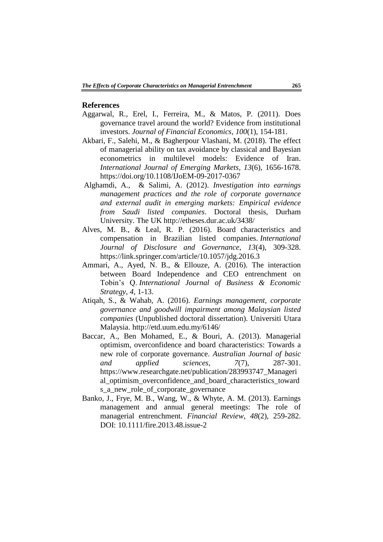#### **References**

- Aggarwal, R., Erel, I., Ferreira, M., & Matos, P. (2011). Does governance travel around the world? Evidence from institutional investors. *Journal of Financial Economics, 100*(1), 154-181.
- Akbari, F., Salehi, M., & Bagherpour Vlashani, M. (2018). The effect of managerial ability on tax avoidance by classical and Bayesian econometrics in multilevel models: Evidence of Iran. *International Journal of Emerging Markets, 13*(6), 1656-1678. https://doi.org/10.1108/IJoEM-09-2017-0367
- Alghamdi, A., & Salimi, A. (2012). *Investigation into earnings management practices and the role of corporate governance and external audit in emerging markets: Empirical evidence from Saudi listed companies*. Doctoral thesis, Durham University. The UK http://etheses.dur.ac.uk/3438/
- Alves, M. B., & Leal, R. P. (2016). Board characteristics and compensation in Brazilian listed companies. *International Journal of Disclosure and Governance, 13*(4), 309-328. https://link.springer.com/article/10.1057/jdg.2016.3
- Ammari, A., Ayed, N. B., & Ellouze, A. (2016). The interaction between Board Independence and CEO entrenchment on Tobin's Q. *International Journal of Business & Economic Strategy, 4*, 1-13.
- Atiqah, S., & Wahab, A. (2016). *Earnings management, corporate governance and goodwill impairment among Malaysian listed companies* (Unpublished doctoral dissertation). Universiti Utara Malaysia. http://etd.uum.edu.my/6146/
- Baccar, A., Ben Mohamed, E., & Bouri, A. (2013). Managerial optimism, overconfidence and board characteristics: Towards a new role of corporate governance. *Australian Journal of basic and applied sciences, 7*(7), 287-301. https://www.researchgate.net/publication/283993747\_Manageri al optimism overconfidence and board characteristics toward s\_a\_new\_role\_of\_corporate\_governance
- Banko, J., Frye, M. B., Wang, W., & Whyte, A. M. (2013). Earnings management and annual general meetings: The role of managerial entrenchment. *Financial Review, 48*(2), 259-282. DOI: 10.1111/fire.2013.48.issue-2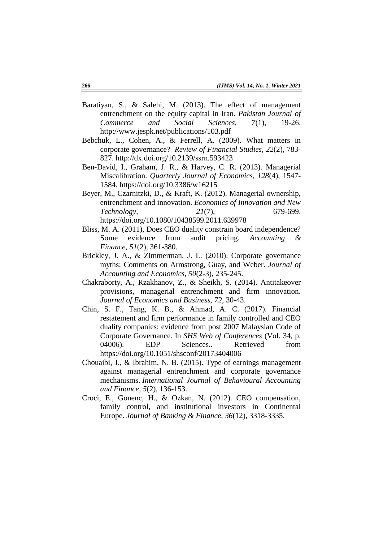- Baratiyan, S., & Salehi, M. (2013). The effect of management entrenchment on the equity capital in Iran. *Pakistan Journal of Commerce and Social Sciences, 7*(1), 19-26. http://www.jespk.net/publications/103.pdf
- Bebchuk, L., Cohen, A., & Ferrell, A. (2009). What matters in corporate governance? *Review of Financial Studies, 22*(2), 783- 827. http://dx.doi.org/10.2139/ssrn.593423
- Ben-David, I., Graham, J. R., & Harvey, C. R. (2013). Managerial Miscalibration. *Quarterly Journal of Economics, 128*(4), 1547- 1584. https://doi.org/10.3386/w16215
- Beyer, M., Czarnitzki, D., & Kraft, K. (2012). Managerial ownership, entrenchment and innovation. *Economics of Innovation and New Technology, 21*(7), 679-699. https://doi.org/10.1080/10438599.2011.639978
- Bliss, M. A. (2011), Does CEO duality constrain board independence? Some evidence from audit pricing. *Accounting Finance, 51*(2), 361-380.
- Brickley, J. A., & Zimmerman, J. L. (2010). Corporate governance myths: Comments on Armstrong, Guay, and Weber. *Journal of Accounting and Economics, 50*(2-3), 235-245.
- Chakraborty, A., Rzakhanov, Z., & Sheikh, S. (2014). Antitakeover provisions, managerial entrenchment and firm innovation. *Journal of Economics and Business, 72*, 30-43.
- Chin, S. F., Tang, K. B., & Ahmad, A. C. (2017). Financial restatement and firm performance in family controlled and CEO duality companies: evidence from post 2007 Malaysian Code of Corporate Governance. In *SHS Web of Conferences* (Vol. 34, p. 04006). EDP Sciences.. Retrieved from https://doi.org/10.1051/shsconf/20173404006
- Chouaibi, J., & Ibrahim, N. B. (2015). Type of earnings management against managerial entrenchment and corporate governance mechanisms. *International Journal of Behavioural Accounting and Finance, 5*(2), 136-153.
- Croci, E., Gonenc, H., & Ozkan, N. (2012). CEO compensation, family control, and institutional investors in Continental Europe. *Journal of Banking & Finance, 36*(12), 3318-3335.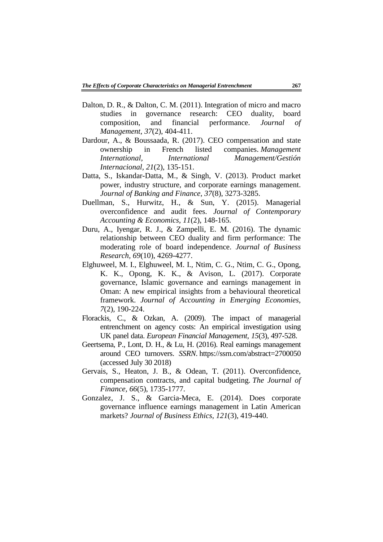- Dalton, D. R., & Dalton, C. M. (2011). Integration of micro and macro studies in governance research: CEO duality, board composition, and financial performance. *Journal of Management, 37*(2), 404-411.
- Dardour, A., & Boussaada, R. (2017). CEO compensation and state ownership in French listed companies. *Management International, International Management/Gestión Internacional, 21*(2), 135-151.
- Datta, S., Iskandar-Datta, M., & Singh, V. (2013). Product market power, industry structure, and corporate earnings management. *Journal of Banking and Finance, 37*(8), 3273-3285.
- Duellman, S., Hurwitz, H., & Sun, Y. (2015). Managerial overconfidence and audit fees. *Journal of Contemporary Accounting & Economics, 11*(2), 148-165.
- Duru, A., Iyengar, R. J., & Zampelli, E. M. (2016). The dynamic relationship between CEO duality and firm performance: The moderating role of board independence. *Journal of Business Research, 69*(10), 4269-4277.
- Elghuweel, M. I., Elghuweel, M. I., Ntim, C. G., Ntim, C. G., Opong, K. K., Opong, K. K., & Avison, L. (2017). Corporate governance, Islamic governance and earnings management in Oman: A new empirical insights from a behavioural theoretical framework. *Journal of Accounting in Emerging Economies, 7*(2), 190-224.
- Florackis, C., & Ozkan, A. (2009). The impact of managerial entrenchment on agency costs: An empirical investigation using UK panel data. *European Financial Management, 15*(3), 497-528.
- Geertsema, P., Lont, D. H., & Lu, H. (2016). Real earnings management around CEO turnovers. *SSRN*. https://ssrn.com/abstract=2700050 (accessed July 30 2018)
- Gervais, S., Heaton, J. B., & Odean, T. (2011). Overconfidence, compensation contracts, and capital budgeting. *The Journal of Finance, 66*(5), 1735-1777.
- Gonzalez, J. S., & Garcia-Meca, E. (2014). Does corporate governance influence earnings management in Latin American markets? *Journal of Business Ethics, 121*(3), 419-440.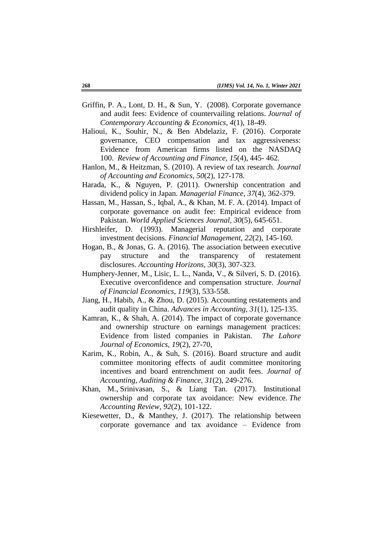- Griffin, P. A., Lont, D. H., & Sun, Y. (2008). Corporate governance and audit fees: Evidence of countervailing relations. *Journal of Contemporary Accounting & Economics, 4*(1), 18-49.
- Halioui, K., Souhir, N., & Ben Abdelaziz, F. (2016). Corporate governance, CEO compensation and tax aggressiveness: Evidence from American firms listed on the NASDAQ 100. *Review of Accounting and Finance, 15*(4), 445- 462.
- Hanlon, M., & Heitzman, S. (2010). A review of tax research. *Journal of Accounting and Economics, 50*(2), 127-178.
- Harada, K., & Nguyen, P. (2011). Ownership concentration and dividend policy in Japan. *Managerial Finance, 37*(4), 362-379.
- Hassan, M., Hassan, S., Iqbal, A., & Khan, M. F. A. (2014). Impact of corporate governance on audit fee: Empirical evidence from Pakistan. *World Applied Sciences Journal, 30*(5), 645-651.
- Hirshleifer, D. (1993). Managerial reputation and corporate investment decisions. *Financial Management, 22*(2), 145-160.
- Hogan, B., & Jonas, G. A. (2016). The association between executive pay structure and the transparency of restatement disclosures. *Accounting Horizons, 30*(3), 307-323.
- Humphery-Jenner, M., Lisic, L. L., Nanda, V., & Silveri, S. D. (2016). Executive overconfidence and compensation structure. *Journal of Financial Economics, 119*(3), 533-558.
- Jiang, H., Habib, A., & Zhou, D. (2015). Accounting restatements and audit quality in China. *Advances in Accounting, 31*(1), 125-135.
- Kamran, K., & Shah, A. (2014). The impact of corporate governance and ownership structure on earnings management practices: Evidence from listed companies in Pakistan. *The Lahore Journal of Economics, 19*(2), 27-70,
- Karim, K., Robin, A., & Suh, S. (2016). Board structure and audit committee monitoring effects of audit committee monitoring incentives and board entrenchment on audit fees. *Journal of Accounting, Auditing & Finance, 31*(2), 249-276.
- Khan, M., Srinivasan, S., & Liang Tan. (2017). Institutional ownership and corporate tax avoidance: New evidence. *The Accounting Review, 92*(2), 101-122.
- Kiesewetter, D., & Manthey, J. (2017). The relationship between corporate governance and tax avoidance – Evidence from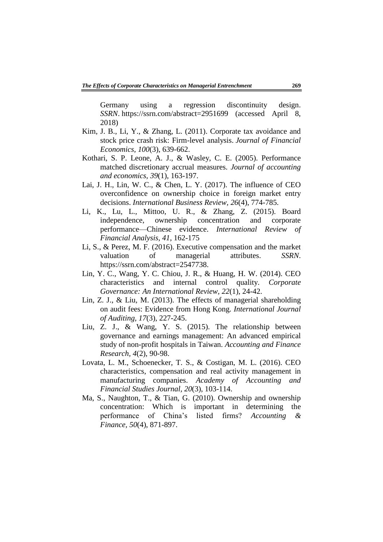Germany using a regression discontinuity design. *SSRN*. https://ssrn.com/abstract=2951699 (accessed April 8, 2018)

- Kim, J. B., Li, Y., & Zhang, L. (2011). Corporate tax avoidance and stock price crash risk: Firm-level analysis. *Journal of Financial Economics, 100*(3), 639-662.
- Kothari, S. P. Leone, A. J., & Wasley, C. E. (2005). Performance matched discretionary accrual measures. *Journal of accounting and economics, 39*(1), 163-197.
- Lai, J. H., Lin, W. C., & Chen, L. Y. (2017). The influence of CEO overconfidence on ownership choice in foreign market entry decisions. *International Business Review, 26*(4), 774-785.
- Li, K., Lu, L., Mittoo, U. R., & Zhang, Z. (2015). Board independence, ownership concentration and corporate performance—Chinese evidence. *International Review of Financial Analysis, 41*, 162-175
- Li, S., & Perez, M. F. (2016). Executive compensation and the market valuation of managerial attributes. *SSRN*. https://ssrn.com/abstract=2547738.
- Lin, Y. C., Wang, Y. C. Chiou, J. R., & Huang, H. W. (2014). CEO characteristics and internal control quality. *Corporate Governance: An International Review, 22*(1), 24-42.
- Lin, Z. J., & Liu, M. (2013). The effects of managerial shareholding on audit fees: Evidence from Hong Kong. *International Journal of Auditing, 17*(3), 227-245.
- Liu, Z. J., & Wang, Y. S. (2015). The relationship between governance and earnings management: An advanced empirical study of non-profit hospitals in Taiwan. *Accounting and Finance Research, 4*(2), 90-98.
- Lovata, L. M., Schoenecker, T. S., & Costigan, M. L. (2016). CEO characteristics, compensation and real activity management in manufacturing companies. *Academy of Accounting and Financial Studies Journal, 20*(3), 103-114.
- Ma, S., Naughton, T., & Tian, G. (2010). Ownership and ownership concentration: Which is important in determining the performance of China's listed firms? *Accounting & Finance, 50*(4), 871-897.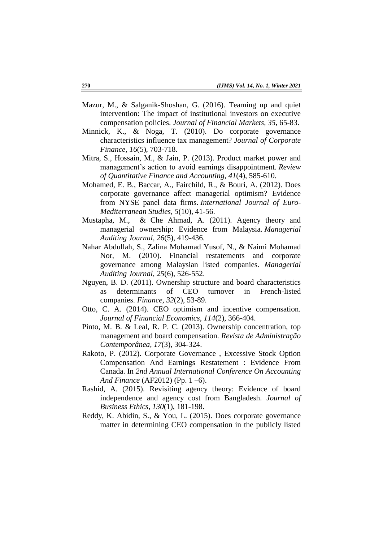- Mazur, M., & Salganik-Shoshan, G. (2016). Teaming up and quiet intervention: The impact of institutional investors on executive compensation policies. *Journal of Financial Markets, 35*, 65-83.
- Minnick, K., & Noga, T. (2010). Do corporate governance characteristics influence tax management? *Journal of Corporate Finance, 16*(5), 703-718.
- Mitra, S., Hossain, M., & Jain, P. (2013). Product market power and management's action to avoid earnings disappointment. *Review of Quantitative Finance and Accounting, 41*(4), 585-610.
- Mohamed, E. B., Baccar, A., Fairchild, R., & Bouri, A. (2012). Does corporate governance affect managerial optimism? Evidence from NYSE panel data firms. *International Journal of Euro-Mediterranean Studies, 5*(10), 41-56.
- Mustapha, M., & Che Ahmad, A. (2011). Agency theory and managerial ownership: Evidence from Malaysia. *Managerial Auditing Journal, 26*(5), 419-436.
- Nahar Abdullah, S., Zalina Mohamad Yusof, N., & Naimi Mohamad Nor, M. (2010). Financial restatements and corporate governance among Malaysian listed companies. *Managerial Auditing Journal, 25*(6), 526-552.
- Nguyen, B. D. (2011). Ownership structure and board characteristics as determinants of CEO turnover in French-listed companies. *Finance, 32*(2), 53-89.
- Otto, C. A. (2014). CEO optimism and incentive compensation. *Journal of Financial Economics, 114*(2), 366-404.
- Pinto, M. B. & Leal, R. P. C. (2013). Ownership concentration, top management and board compensation. *Revista de Administração Contemporânea, 17*(3), 304-324.
- Rakoto, P. (2012). Corporate Governance , Excessive Stock Option Compensation And Earnings Restatement : Evidence From Canada. In *2nd Annual International Conference On Accounting And Finance* (AF2012) (Pp. 1 –6).
- Rashid, A. (2015). Revisiting agency theory: Evidence of board independence and agency cost from Bangladesh. *Journal of Business Ethics, 130*(1), 181-198.
- Reddy, K. Abidin, S., & You, L. (2015). Does corporate governance matter in determining CEO compensation in the publicly listed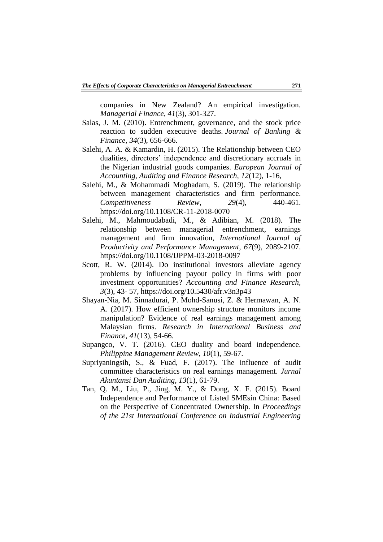companies in New Zealand? An empirical investigation. *Managerial Finance, 41*(3), 301-327.

- Salas, J. M. (2010). Entrenchment, governance, and the stock price reaction to sudden executive deaths. *Journal of Banking & Finance, 34*(3), 656-666.
- Salehi, A. A. & Kamardin, H. (2015). The Relationship between CEO dualities, directors' independence and discretionary accruals in the Nigerian industrial goods companies. *European Journal of Accounting, Auditing and Finance Research, 12*(12), 1-16,
- Salehi, M., & Mohammadi Moghadam, S. (2019). The relationship between management characteristics and firm performance. *Competitiveness Review, 29*(4), 440-461. https://doi.org/10.1108/CR-11-2018-0070
- Salehi, M., Mahmoudabadi, M., & Adibian, M. (2018). The relationship between managerial entrenchment, earnings management and firm innovation, *International Journal of Productivity and Performance Management, 67*(9), 2089-2107. https://doi.org/10.1108/IJPPM-03-2018-0097
- Scott, R. W. (2014). Do institutional investors alleviate agency problems by influencing payout policy in firms with poor investment opportunities? *Accounting and Finance Research, 3*(3), 43- 57, https://doi.org/10.5430/afr.v3n3p43
- Shayan-Nia, M. Sinnadurai, P. Mohd-Sanusi, Z. & Hermawan, A. N. A. (2017). How efficient ownership structure monitors income manipulation? Evidence of real earnings management among Malaysian firms. *Research in International Business and Finance, 41*(13), 54-66.
- Supangco, V. T. (2016). CEO duality and board independence. *Philippine Management Review, 10*(1), 59-67.
- Supriyaningsih, S., & Fuad, F. (2017). The influence of audit committee characteristics on real earnings management. *Jurnal Akuntansi Dan Auditing, 13*(1), 61-79.
- Tan, Q. M., Liu, P., Jing, M. Y., & Dong, X. F. (2015). Board Independence and Performance of Listed SMEsin China: Based on the Perspective of Concentrated Ownership. In *Proceedings of the 21st International Conference on Industrial Engineering*